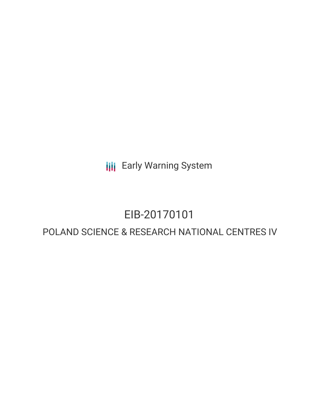**III** Early Warning System

# EIB-20170101

# POLAND SCIENCE & RESEARCH NATIONAL CENTRES IV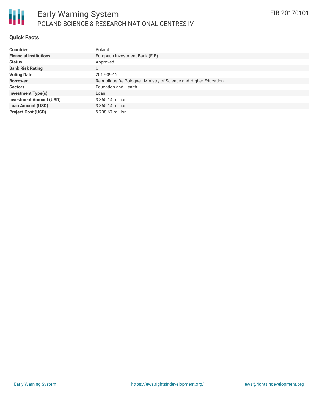

## **Quick Facts**

| <b>Countries</b>               | Poland                                                           |
|--------------------------------|------------------------------------------------------------------|
| <b>Financial Institutions</b>  | European Investment Bank (EIB)                                   |
| <b>Status</b>                  | Approved                                                         |
| <b>Bank Risk Rating</b>        |                                                                  |
| <b>Voting Date</b>             | 2017-09-12                                                       |
| <b>Borrower</b>                | Republique De Pologne - Ministry of Science and Higher Education |
| <b>Sectors</b>                 | <b>Education and Health</b>                                      |
| <b>Investment Type(s)</b>      | Loan                                                             |
| <b>Investment Amount (USD)</b> | \$365.14 million                                                 |
| <b>Loan Amount (USD)</b>       | \$365.14 million                                                 |
| <b>Project Cost (USD)</b>      | \$738.67 million                                                 |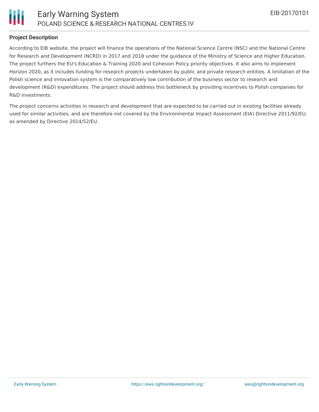

## **Project Description**

According to EIB website, the project will finance the operations of the National Science Centre (NSC) and the National Centre for Research and Development (NCRD) in 2017 and 2018 under the guidance of the Ministry of Science and Higher Education. The project furthers the EU's Education & Training 2020 and Cohesion Policy priority objectives. It also aims to implement Horizon 2020, as it includes funding for research projects undertaken by public and private research entities. A limitation of the Polish science and innovation system is the comparatively low contribution of the business sector to research and development (R&D) expenditures. The project should address this bottleneck by providing incentives to Polish companies for R&D investments.

The project concerns activities in research and development that are expected to be carried out in existing facilities already used for similar activities, and are therefore not covered by the Environmental Impact Assessment (EIA) Directive 2011/92/EU, as amended by Directive 2014/52/EU.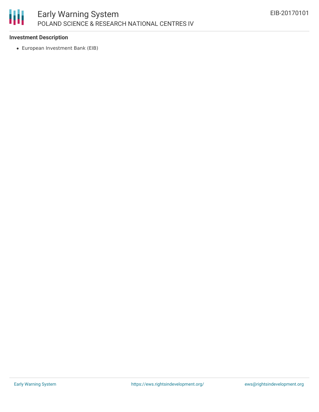

# **Investment Description**

European Investment Bank (EIB)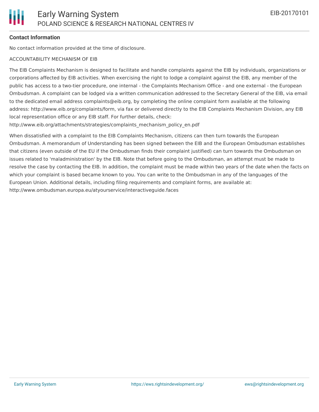#### **Contact Information**

No contact information provided at the time of disclosure.

#### ACCOUNTABILITY MECHANISM OF EIB

The EIB Complaints Mechanism is designed to facilitate and handle complaints against the EIB by individuals, organizations or corporations affected by EIB activities. When exercising the right to lodge a complaint against the EIB, any member of the public has access to a two-tier procedure, one internal - the Complaints Mechanism Office - and one external - the European Ombudsman. A complaint can be lodged via a written communication addressed to the Secretary General of the EIB, via email to the dedicated email address complaints@eib.org, by completing the online complaint form available at the following address: http://www.eib.org/complaints/form, via fax or delivered directly to the EIB Complaints Mechanism Division, any EIB local representation office or any EIB staff. For further details, check:

http://www.eib.org/attachments/strategies/complaints\_mechanism\_policy\_en.pdf

When dissatisfied with a complaint to the EIB Complaints Mechanism, citizens can then turn towards the European Ombudsman. A memorandum of Understanding has been signed between the EIB and the European Ombudsman establishes that citizens (even outside of the EU if the Ombudsman finds their complaint justified) can turn towards the Ombudsman on issues related to 'maladministration' by the EIB. Note that before going to the Ombudsman, an attempt must be made to resolve the case by contacting the EIB. In addition, the complaint must be made within two years of the date when the facts on which your complaint is based became known to you. You can write to the Ombudsman in any of the languages of the European Union. Additional details, including filing requirements and complaint forms, are available at: http://www.ombudsman.europa.eu/atyourservice/interactiveguide.faces